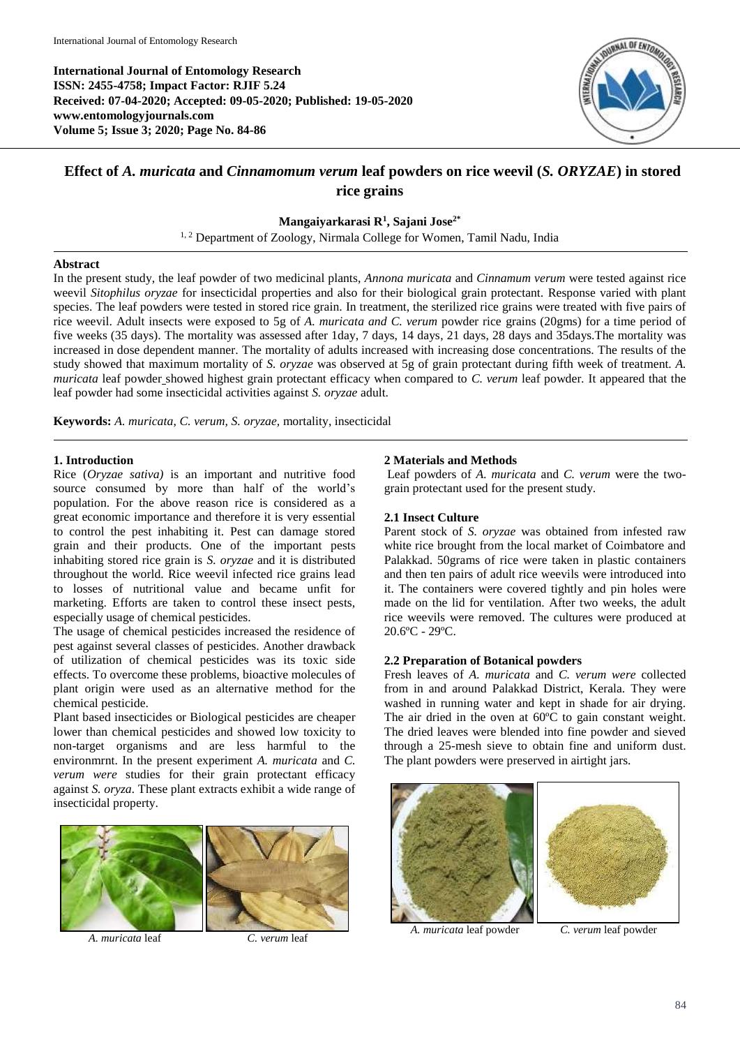**International Journal of Entomology Research ISSN: 2455-4758; Impact Factor: RJIF 5.24 Received: 07-04-2020; Accepted: 09-05-2020; Published: 19-05-2020 www.entomologyjournals.com Volume 5; Issue 3; 2020; Page No. 84-86**



# **Effect of** *A. muricata* **and** *Cinnamomum verum* **leaf powders on rice weevil (***S. ORYZAE***) in stored rice grains**

**Mangaiyarkarasi R<sup>1</sup> , Sajani Jose2\***

<sup>1, 2</sup> Department of Zoology, Nirmala College for Women, Tamil Nadu, India

### **Abstract**

In the present study, the leaf powder of two medicinal plants, *Annona muricata* and *Cinnamum verum* were tested against rice weevil *Sitophilus oryzae* for insecticidal properties and also for their biological grain protectant*.* Response varied with plant species. The leaf powders were tested in stored rice grain. In treatment, the sterilized rice grains were treated with five pairs of rice weevil. Adult insects were exposed to 5g of *A. muricata and C. verum* powder rice grains (20gms) for a time period of five weeks (35 days). The mortality was assessed after 1day, 7 days, 14 days, 21 days, 28 days and 35days.The mortality was increased in dose dependent manner. The mortality of adults increased with increasing dose concentrations. The results of the study showed that maximum mortality of *S. oryzae* was observed at 5g of grain protectant during fifth week of treatment. *A. muricata* leaf powder showed highest grain protectant efficacy when compared to *C. verum* leaf powder*.* It appeared that the leaf powder had some insecticidal activities against *S. oryzae* adult.

**Keywords:** *A. muricata*, *C. verum, S. oryzae,* mortality, insecticidal

## **1. Introduction**

Rice (*Oryzae sativa)* is an important and nutritive food source consumed by more than half of the world's population. For the above reason rice is considered as a great economic importance and therefore it is very essential to control the pest inhabiting it. Pest can damage stored grain and their products. One of the important pests inhabiting stored rice grain is *S. oryzae* and it is distributed throughout the world. Rice weevil infected rice grains lead to losses of nutritional value and became unfit for marketing. Efforts are taken to control these insect pests, especially usage of chemical pesticides.

The usage of chemical pesticides increased the residence of pest against several classes of pesticides. Another drawback of utilization of chemical pesticides was its toxic side effects. To overcome these problems, bioactive molecules of plant origin were used as an alternative method for the chemical pesticide.

Plant based insecticides or Biological pesticides are cheaper lower than chemical pesticides and showed low toxicity to non-target organisms and are less harmful to the environmrnt. In the present experiment *A. muricata* and *C. verum were* studies for their grain protectant efficacy against *S. oryza.* These plant extracts exhibit a wide range of insecticidal property.



*A. muricata* leaf *C. verum* leaf

## **2 Materials and Methods**

Leaf powders of *A. muricata* and *C. verum* were the twograin protectant used for the present study.

## **2.1 Insect Culture**

Parent stock of *S. oryzae* was obtained from infested raw white rice brought from the local market of Coimbatore and Palakkad. 50grams of rice were taken in plastic containers and then ten pairs of adult rice weevils were introduced into it. The containers were covered tightly and pin holes were made on the lid for ventilation. After two weeks, the adult rice weevils were removed. The cultures were produced at 20.6ºC - 29ºC.

## **2.2 Preparation of Botanical powders**

Fresh leaves of *A. muricata* and *C. verum were* collected from in and around Palakkad District, Kerala. They were washed in running water and kept in shade for air drying. The air dried in the oven at 60ºC to gain constant weight. The dried leaves were blended into fine powder and sieved through a 25-mesh sieve to obtain fine and uniform dust. The plant powders were preserved in airtight jars.



*A. muricata* leaf powder *C. verum* leaf powder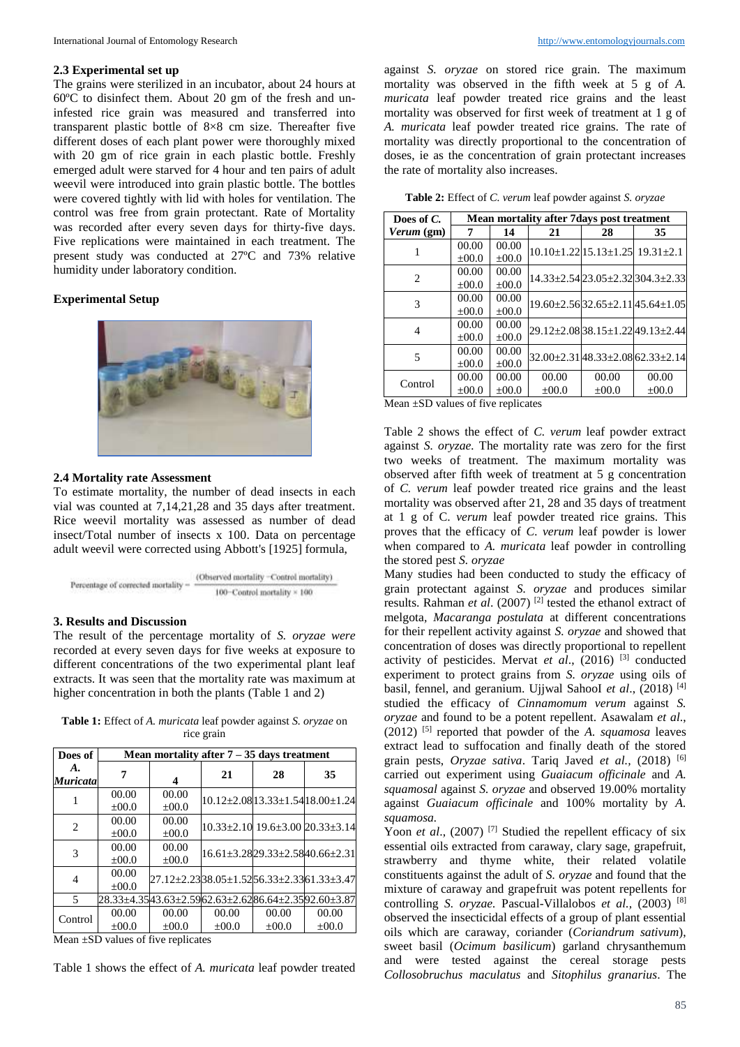#### **2.3 Experimental set up**

The grains were sterilized in an incubator, about 24 hours at 60ºC to disinfect them. About 20 gm of the fresh and uninfested rice grain was measured and transferred into transparent plastic bottle of 8×8 cm size. Thereafter five different doses of each plant power were thoroughly mixed with 20 gm of rice grain in each plastic bottle. Freshly emerged adult were starved for 4 hour and ten pairs of adult weevil were introduced into grain plastic bottle. The bottles were covered tightly with lid with holes for ventilation. The control was free from grain protectant. Rate of Mortality was recorded after every seven days for thirty-five days. Five replications were maintained in each treatment. The present study was conducted at 27ºC and 73% relative humidity under laboratory condition.

### **Experimental Setup**



#### **2.4 Mortality rate Assessment**

To estimate mortality, the number of dead insects in each vial was counted at 7,14,21,28 and 35 days after treatment. Rice weevil mortality was assessed as number of dead insect/Total number of insects x 100. Data on percentage adult weevil were corrected using Abbott's [1925] formula,



## **3. Results and Discussion**

The result of the percentage mortality of *S. oryzae were* recorded at every seven days for five weeks at exposure to different concentrations of the two experimental plant leaf extracts. It was seen that the mortality rate was maximum at higher concentration in both the plants (Table 1 and 2)

**Table 1:** Effect of *A. muricata* leaf powder against *S. oryzae* on rice grain

| Does of               | Mean mortality after $7 - 35$ days treatment |                     |            |            |                                                     |  |  |
|-----------------------|----------------------------------------------|---------------------|------------|------------|-----------------------------------------------------|--|--|
| A.<br><b>Muricata</b> |                                              | 4                   | 21         | 28         | 35                                                  |  |  |
|                       | 00.00<br>$\pm 00.0$                          | 00.00<br>$\pm 00.0$ |            |            | $10.12 \pm 2.0813.33 \pm 1.5418.00 \pm 1.24$        |  |  |
| 2                     | 00.00<br>$\pm 00.0$                          | 00.00<br>$\pm 00.0$ |            |            | $10.33 \pm 2.10$ $19.6 \pm 3.00$ $20.33 \pm 3.14$   |  |  |
| 3                     | 00.00<br>$\pm 00.0$                          | 00.00<br>$\pm 00.0$ |            |            | $16.61 \pm 3.2829.33 \pm 2.5840.66 \pm 2.31$        |  |  |
| 4                     | 00.00<br>$+00.0$                             |                     |            |            | 27.12±2.2338.05±1.5256.33±2.3361.33±3.47            |  |  |
| 5                     |                                              |                     |            |            | 28.33±4.3543.63±2.5962.63±2.6286.64±2.3592.60±3.87l |  |  |
| Control               | 00.00                                        | 00.00               | 00.00      | 00.00      | 00.00                                               |  |  |
|                       | $\pm 00.0$                                   | $\pm 00.0$          | $\pm 00.0$ | $\pm 00.0$ | $\pm 00.0$                                          |  |  |

Mean ±SD values of five replicates

Table 1 shows the effect of *A. muricata* leaf powder treated

against *S. oryzae* on stored rice grain. The maximum mortality was observed in the fifth week at 5 g of *A. muricata* leaf powder treated rice grains and the least mortality was observed for first week of treatment at 1 g of *A. muricata* leaf powder treated rice grains*.* The rate of mortality was directly proportional to the concentration of doses, ie as the concentration of grain protectant increases the rate of mortality also increases.

**Table 2:** Effect of *C. verum* leaf powder against *S. oryzae*

| Does of C.                    | Mean mortality after 7 days post treatment |            |         |                                                   |                                              |  |
|-------------------------------|--------------------------------------------|------------|---------|---------------------------------------------------|----------------------------------------------|--|
| <i>Verum</i> (gm)             | 7                                          | 14         | 21      | 28                                                | 35                                           |  |
|                               | 00.00                                      | 00.00      |         | $10.10 \pm 1.22$ $15.13 \pm 1.25$ $19.31 \pm 2.1$ |                                              |  |
|                               | $\pm 00.0$                                 | $\pm 00.0$ |         |                                                   |                                              |  |
| $\mathfrak{D}_{\mathfrak{p}}$ | 00.00                                      | 00.00      |         | $14.33 \pm 2.5423.05 \pm 2.321304.3 \pm 2.33$     |                                              |  |
|                               | $\pm 00.0$                                 | $\pm 00.0$ |         |                                                   |                                              |  |
| 3                             | 00.00                                      | 00.00      |         |                                                   | $19.60 \pm 2.5632.65 \pm 2.1145.64 \pm 1.05$ |  |
|                               | $\pm 00.0$                                 | $\pm 00.0$ |         |                                                   |                                              |  |
| 4                             | 00.00                                      | 00.00      |         |                                                   | 29.12±2.0838.15±1.2249.13±2.44               |  |
|                               | $\pm 00.0$                                 | $\pm 00.0$ |         |                                                   |                                              |  |
| 5                             | 00.00                                      | 00.00      |         |                                                   | $32.00 \pm 2.3148.33 \pm 2.0862.33 \pm 2.14$ |  |
|                               | $\pm 00.0$                                 | $\pm 00.0$ |         |                                                   |                                              |  |
| Control                       | 00.00                                      | 00.00      | 00.00   | 00.00                                             | 00.00                                        |  |
|                               | $\pm 00.0$                                 | $\pm 00.0$ | $+00.0$ | $+00.0$                                           | $\pm 00.0$                                   |  |

Mean ±SD values of five replicates

Table 2 shows the effect of *C. verum* leaf powder extract against *S. oryzae.* The mortality rate was zero for the first two weeks of treatment. The maximum mortality was observed after fifth week of treatment at 5 g concentration of *C. verum* leaf powder treated rice grains and the least mortality was observed after 21, 28 and 35 days of treatment at 1 g of C. *verum* leaf powder treated rice grains. This proves that the efficacy of *C. verum* leaf powder is lower when compared to *A. muricata* leaf powder in controlling the stored pest *S. oryzae*

Many studies had been conducted to study the efficacy of grain protectant against *S. oryzae* and produces similar results. Rahman *et al.* (2007)<sup>[2]</sup> tested the ethanol extract of melgota*, Macaranga postulata* at different concentrations for their repellent activity against *S. oryzae* and showed that concentration of doses was directly proportional to repellent activity of pesticides. Mervat et al., (2016)<sup>[3]</sup> conducted experiment to protect grains from *S. oryzae* using oils of basil, fennel, and geranium. Ujjwal SahooI et al., (2018)<sup>[4]</sup> studied the efficacy of *Cinnamomum verum* against *S. oryzae* and found to be a potent repellent. Asawalam *et al*., (2012) [5] reported that powder of the *A. squamosa* leaves extract lead to suffocation and finally death of the stored grain pests, *Oryzae sativa*. Tariq Javed *et al.,* (2018) [6] carried out experiment using *Guaiacum officinale* and *A. squamosal* against *S. oryzae* and observed 19.00% mortality against *Guaiacum officinale* and 100% mortality by *A. squamosa.*

Yoon *et al.*, (2007)<sup>[7]</sup> Studied the repellent efficacy of six essential oils extracted from caraway, clary sage, grapefruit, strawberry and thyme white, their related volatile constituents against the adult of *S. oryzae* and found that the mixture of caraway and grapefruit was potent repellents for controlling *S. oryzae.* Pascual-Villalobos *et al.,* (2003) [8] observed the insecticidal effects of a group of plant essential oils which are caraway, coriander (*Coriandrum sativum*), sweet basil (*Ocimum basilicum*) garland chrysanthemum and were tested against the cereal storage pests *Collosobruchus maculatus* and *Sitophilus granarius*. The